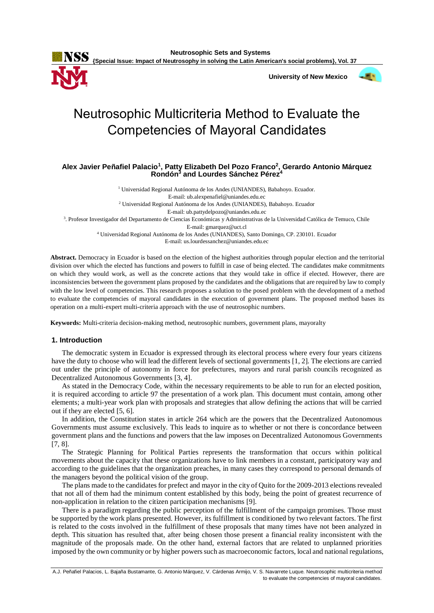

 **University of New Mexico**



# Neutrosophic Multicriteria Method to Evaluate the Competencies of Mayoral Candidates

**Alex Javier Peñafiel Palacio<sup>1</sup> , Patty Elizabeth Del Pozo Franco<sup>2</sup> , Gerardo Antonio Márquez Rondón<sup>3</sup> and Lourdes Sánchez Pérez<sup>4</sup>**

<sup>1</sup> Universidad Regional Autónoma de los Andes (UNIANDES), Babahoyo. Ecuador. E-mail: ub.alexpenafiel@uniandes.edu.ec <sup>2</sup> Universidad Regional Autónoma de los Andes (UNIANDES), Babahoyo. Ecuador E-mail: ub.pattydelpozo@uniandes.edu.ec 3 . Profesor Investigador del Departamento de Ciencias Económicas y Administrativas de la Universidad Católica de Temuco, Chile E-mail: gmarquez@uct.cl <sup>4</sup> Universidad Regional Autónoma de los Andes (UNIANDES), Santo Domingo, CP. 230101. Ecuador E-mail: us.lourdessanchez@uniandes.edu.ec

**Abstract.** Democracy in Ecuador is based on the election of the highest authorities through popular election and the territorial division over which the elected has functions and powers to fulfill in case of being elected. The candidates make commitments on which they would work, as well as the concrete actions that they would take in office if elected. However, there are inconsistencies between the government plans proposed by the candidates and the obligations that are required by law to comply with the low level of competencies. This research proposes a solution to the posed problem with the development of a method to evaluate the competencies of mayoral candidates in the execution of government plans. The proposed method bases its operation on a multi-expert multi-criteria approach with the use of neutrosophic numbers.

**Keywords:** Multi-criteria decision-making method, neutrosophic numbers, government plans, mayoralty

#### **1. Introduction**

The democratic system in Ecuador is expressed through its electoral process where every four years citizens have the duty to choose who will lead the different levels of sectional governments [\[1,](#page-6-0) [2\]](#page-6-1). The elections are carried out under the principle of autonomy in force for prefectures, mayors and rural parish councils recognized as Decentralized Autonomous Governments [\[3,](#page-6-2) [4\]](#page-6-3).

As stated in the Democracy Code, within the necessary requirements to be able to run for an elected position, it is required according to article 97 the presentation of a work plan. This document must contain, among other elements; a multi-year work plan with proposals and strategies that allow defining the actions that will be carried out if they are elected [\[5,](#page-6-4) [6\]](#page-6-5).

In addition, the Constitution states in article 264 which are the powers that the Decentralized Autonomous Governments must assume exclusively. This leads to inquire as to whether or not there is concordance between government plans and the functions and powers that the law imposes on Decentralized Autonomous Governments [\[7,](#page-6-6) [8\]](#page-6-7).

The Strategic Planning for Political Parties represents the transformation that occurs within political movements about the capacity that these organizations have to link members in a constant, participatory way and according to the guidelines that the organization preaches, in many cases they correspond to personal demands of the managers beyond the political vision of the group.

The plans made to the candidates for prefect and mayor in the city of Quito for the 2009-2013 elections revealed that not all of them had the minimum content established by this body, being the point of greatest recurrence of non-application in relation to the citizen participation mechanisms [\[9\]](#page-6-8).

There is a paradigm regarding the public perception of the fulfillment of the campaign promises. Those must be supported by the work plans presented. However, its fulfillment is conditioned by two relevant factors. The first is related to the costs involved in the fulfillment of these proposals that many times have not been analyzed in depth. This situation has resulted that, after being chosen those present a financial reality inconsistent with the magnitude of the proposals made. On the other hand, external factors that are related to unplanned priorities imposed by the own community or by higher powers such as macroeconomic factors, local and national regulations,

A.J. Peñafiel Palacios, L. Bajaña Bustamante, G. Antonio Márquez, V. Cárdenas Armijo, V. S. Navarrete Luque. Neutrosophic multicriteria method to evaluate the competencies of mayoral candidates.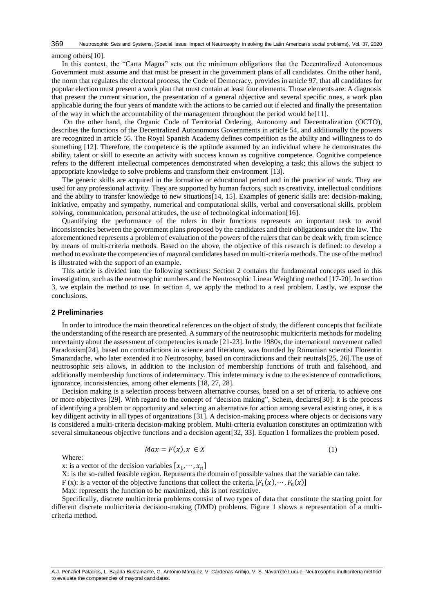among others[\[10\]](#page-6-9).

In this context, the "Carta Magna" sets out the minimum obligations that the Decentralized Autonomous Government must assume and that must be present in the government plans of all candidates. On the other hand, the norm that regulates the electoral process, the Code of Democracy, provides in article 97, that all candidates for popular election must present a work plan that must contain at least four elements. Those elements are: A diagnosis that present the current situation, the presentation of a general objective and several specific ones, a work plan applicable during the four years of mandate with the actions to be carried out if elected and finally the presentation of the way in which the accountability of the management throughout the period would be[\[11\]](#page-6-10).

On the other hand, the Organic Code of Territorial Ordering, Autonomy and Decentralization (OCTO), describes the functions of the Decentralized Autonomous Governments in article 54, and additionally the powers are recognized in article 55. The Royal Spanish Academy defines competition as the ability and willingness to do something [\[12\]](#page-6-11). Therefore, the competence is the aptitude assumed by an individual where he demonstrates the ability, talent or skill to execute an activity with success known as cognitive competence. Cognitive competence refers to the different intellectual competences demonstrated when developing a task; this allows the subject to appropriate knowledge to solve problems and transform their environment [\[13\]](#page-6-12).

The generic skills are acquired in the formative or educational period and in the practice of work. They are used for any professional activity. They are supported by human factors, such as creativity, intellectual conditions and the ability to transfer knowledge to new situations[\[14,](#page-6-13) [15\]](#page-6-14). Examples of generic skills are: decision-making, initiative, empathy and sympathy, numerical and computational skills, verbal and conversational skills, problem solving, communication, personal attitudes, the use of technological information[\[16\]](#page-6-15).

Quantifying the performance of the rulers in their functions represents an important task to avoid inconsistencies between the government plans proposed by the candidates and their obligations under the law. The aforementioned represents a problem of evaluation of the powers of the rulers that can be dealt with, from science by means of multi-criteria methods. Based on the above, the objective of this research is defined: to develop a method to evaluate the competencies of mayoral candidates based on multi-criteria methods. The use of the method is illustrated with the support of an example.

This article is divided into the following sections: Section 2 contains the fundamental concepts used in this investigation, such as the neutrosophic numbers and the Neutrosophic Linear Weighting method [\[17-20\]](#page-7-0). In section 3, we explain the method to use. In section 4, we apply the method to a real problem. Lastly, we expose the conclusions.

#### **2 Preliminaries**

In order to introduce the main theoretical references on the object of study, the different concepts that facilitate the understanding of the research are presented. A summary of the neutrosophic multicriteria methods for modeling uncertainty about the assessment of competencies is made [\[21-23\]](#page-7-1). In the 1980s, the international movement called Paradoxism[\[24\]](#page-7-2), based on contradictions in science and literature, was founded by Romanian scientist Florentin Smarandache, who later extended it to Neutrosophy, based on contradictions and their neutrals[\[25,](#page-7-3) [26\]](#page-7-4).The use of neutrosophic sets allows, in addition to the inclusion of membership functions of truth and falsehood, and additionally membership functions of indeterminacy. This indeterminacy is due to the existence of contradictions, ignorance, inconsistencies, among other elements [\[18,](#page-7-5) [27,](#page-7-6) [28\]](#page-7-7).

Decision making is a selection process between alternative courses, based on a set of criteria, to achieve one or more objectives [\[29\]](#page-7-8). With regard to the concept of "decision making", Schein, declares[\[30\]](#page-7-9): it is the process of identifying a problem or opportunity and selecting an alternative for action among several existing ones, it is a key diligent activity in all types of organizations [\[31\]](#page-7-10). A decision-making process where objects or decisions vary is considered a multi-criteria decision-making problem. Multi-criteria evaluation constitutes an optimization with several simultaneous objective functions and a decision agent[\[32,](#page-7-11) [33\]](#page-7-12). Equation 1 formalizes the problem posed.

$$
Max = F(x), x \in X \tag{1}
$$

Where:

x: is a vector of the decision variables  $[x_1, \dots, x_n]$ 

X: is the so-called feasible region. Represents the domain of possible values that the variable can take.

F (x): is a vector of the objective functions that collect the criteria.  $[F_1(x), \dots, F_n(x)]$ 

Max: represents the function to be maximized, this is not restrictive.

Specifically, discrete multicriteria problems consist of two types of data that constitute the starting point for different discrete multicriteria decision-making (DMD) problems. Figure 1 shows a representation of a multicriteria method.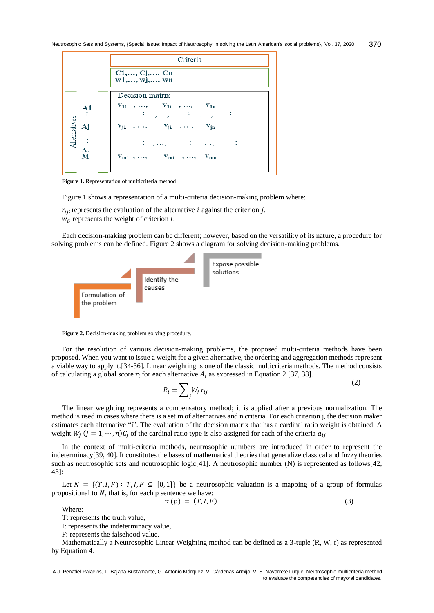|                                   | Criteria                                                                                                                                                                                                                                                                                                                                    |  |  |
|-----------------------------------|---------------------------------------------------------------------------------------------------------------------------------------------------------------------------------------------------------------------------------------------------------------------------------------------------------------------------------------------|--|--|
|                                   | C1, , Cj, , Cn<br>$w1, , wj, ,$ wn                                                                                                                                                                                                                                                                                                          |  |  |
| A1<br>Alternatives<br>Aj<br>$\pm$ | Decision matrix<br>$v_{11}$ , , $v_{1i}$ , , $v_{1n}$<br>$\pm$ $\frac{1}{2}$ $\frac{1}{2}$ $\frac{1}{2}$ $\frac{1}{2}$ $\frac{1}{2}$ $\frac{1}{2}$ $\frac{1}{2}$ $\frac{1}{2}$<br>- 1<br>$\mathbf{v}_{j1} \quad , \; \ldots, \qquad \mathbf{v}_{ji} \quad , \; \ldots, \qquad \mathbf{v}_{jn}$<br>$\vdots$ , , $\vdots$ $\vdots$ , ,<br>- 1 |  |  |
| A.<br>м                           | $V_{m1}$ , , $V_{mi}$ , , $V_{mn}$                                                                                                                                                                                                                                                                                                          |  |  |

**Figure 1.** Representation of multicriteria method

Figure 1 shows a representation of a multi-criteria decision-making problem where:

 $r_{ij}$ : represents the evaluation of the alternative *i* against the criterion *j*.  $w_i$ : represents the weight of criterion *i*.

Each decision-making problem can be different; however, based on the versatility of its nature, a procedure for solving problems can be defined. Figure 2 shows a diagram for solving decision-making problems.



**Figure 2.** Decision-making problem solving procedure.

For the resolution of various decision-making problems, the proposed multi-criteria methods have been proposed. When you want to issue a weight for a given alternative, the ordering and aggregation methods represent a viable way to apply it.[\[34-36\]](#page-7-13). Linear weighting is one of the classic multicriteria methods. The method consists of calculating a global score  $r_i$  for each alternative  $A_i$  as expressed in Equation 2 [\[37,](#page-7-14) [38\]](#page-7-15).

$$
R_i = \sum_j W_j r_{ij} \tag{2}
$$

 $(2)$ 

The linear weighting represents a compensatory method; it is applied after a previous normalization. The method is used in cases where there is a set m of alternatives and n criteria. For each criterion j, the decision maker estimates each alternative "i". The evaluation of the decision matrix that has a cardinal ratio weight is obtained. A weight  $W_j$   $(j = 1, \dots, n)C_j$  of the cardinal ratio type is also assigned for each of the criteria  $a_{ij}$ 

In the context of multi-criteria methods, neutrosophic numbers are introduced in order to represent the indeterminacy[\[39,](#page-7-16) [40\]](#page-7-17). It constitutes the bases of mathematical theories that generalize classical and fuzzy theories such as neutrosophic sets and neutrosophic logic[\[41\]](#page-7-18). A neutrosophic number (N) is represented as follows[\[42,](#page-7-19) [43\]](#page-7-20):

Let  $N = \{(T, I, F) : T, I, F \subseteq [0, 1]\}$  be a neutrosophic valuation is a mapping of a group of formulas propositional to  $N$ , that is, for each p sentence we have:

$$
v(p) = (T, I, F) \tag{3}
$$

Where:

T: represents the truth value,

I: represents the indeterminacy value,

F: represents the falsehood value.

Mathematically a Neutrosophic Linear Weighting method can be defined as a 3-tuple (R, W, r) as represented by Equation 4.

A.J. Peñafiel Palacios, L. Bajaña Bustamante, G. Antonio Márquez, V. Cárdenas Armijo, V. S. Navarrete Luque. Neutrosophic multicriteria method to evaluate the competencies of mayoral candidates.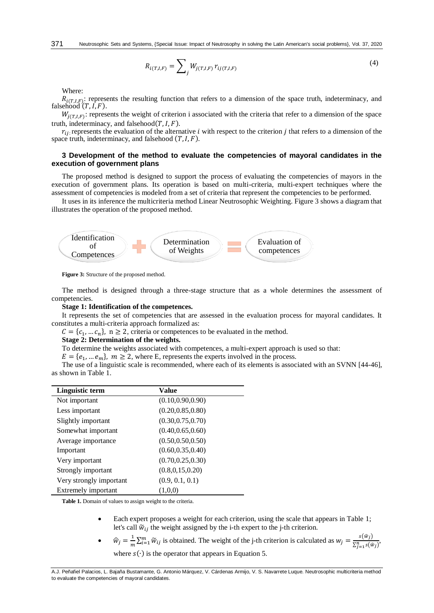$$
R_{i(T,I,F)} = \sum_{j} W_{j(T,I,F)} r_{ij(T,I,F)}
$$
\n(4)

Where:

 $R_{i(T,I,F)}$ : represents the resulting function that refers to a dimension of the space truth, indeterminacy, and falsehood  $(T, I, F)$ .

 $W_{j(T,I,F)}$ : represents the weight of criterion i associated with the criteria that refer to a dimension of the space truth, indeterminacy, and falsehood $(T, I, F)$ .

 $r_{i,i}$ : represents the evaluation of the alternative *i* with respect to the criterion *j* that refers to a dimension of the space truth, indeterminacy, and falsehood  $(T, I, F)$ .

#### **3 Development of the method to evaluate the competencies of mayoral candidates in the execution of government plans**

The proposed method is designed to support the process of evaluating the competencies of mayors in the execution of government plans. Its operation is based on multi-criteria, multi-expert techniques where the assessment of competencies is modeled from a set of criteria that represent the competencies to be performed.

It uses in its inference the multicriteria method Linear Neutrosophic Weighting. Figure 3 shows a diagram that illustrates the operation of the proposed method.



**Figure 3:** Structure of the proposed method.

The method is designed through a three-stage structure that as a whole determines the assessment of competencies.

#### **Stage 1: Identification of the competences.**

It represents the set of competencies that are assessed in the evaluation process for mayoral candidates. It constitutes a multi-criteria approach formalized as:

 $C = \{c_1, \dots, c_n\}$ ,  $n \ge 2$ , criteria or competences to be evaluated in the method.

# **Stage 2: Determination of the weights.**

To determine the weights associated with competences, a multi-expert approach is used so that:

 $E = \{e_1, \dots e_m\}, m \ge 2$ , where E, represents the experts involved in the process.

The use of a linguistic scale is recommended, where each of its elements is associated with an SVNN [\[44-46\]](#page-8-0), as shown in Table 1.

| Linguistic term         | Value              |
|-------------------------|--------------------|
| Not important           | (0.10, 0.90, 0.90) |
| Less important          | (0.20, 0.85, 0.80) |
| Slightly important      | (0.30, 0.75, 0.70) |
| Somewhat important      | (0.40, 0.65, 0.60) |
| Average importance      | (0.50, 0.50, 0.50) |
| Important               | (0.60, 0.35, 0.40) |
| Very important          | (0.70, 0.25, 0.30) |
| Strongly important      | (0.8, 0.15, 0.20)  |
| Very strongly important | (0.9, 0.1, 0.1)    |
| Extremely important     | (1.0.0)            |

**Table 1.** Domain of values to assign weight to the criteria.

- Each expert proposes a weight for each criterion, using the scale that appears in Table 1; let's call  $\widetilde{w}_{ij}$  the weight assigned by the i-th expert to the j-th criterion.
- $\hat{w}_j = \frac{1}{m}$  $\frac{1}{m}\sum_{i=1}^{m} \widetilde{w}_{ij}$  is obtained. The weight of the j-th criterion is calculated as  $w_j = \frac{s(\widehat{w}_j)}{\sum_{i=1}^{n} s(\widehat{w}_j)}$  $\frac{\sum_{j=1}^{N} s(\hat{w}_j)}{\sum_{j=1}^{n} s(\hat{w}_j)}$ where  $s(\cdot)$  is the operator that appears in Equation 5.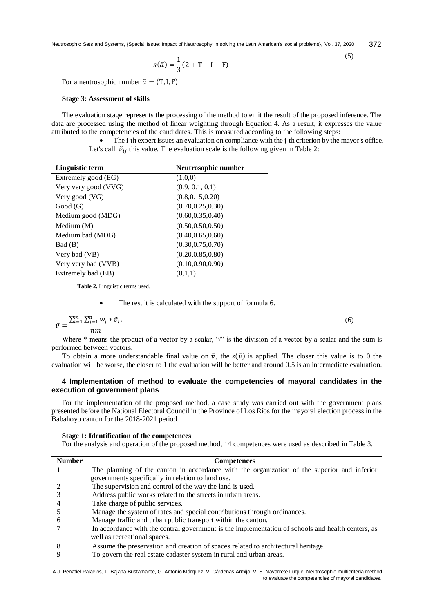$$
s(\tilde{a}) = \frac{1}{3}(2+T-I-F)
$$

For a neutrosophic number  $\tilde{a} = (T, I, F)$ 

#### **Stage 3: Assessment of skills**

The evaluation stage represents the processing of the method to emit the result of the proposed inference. The data are processed using the method of linear weighting through Equation 4. As a result, it expresses the value attributed to the competencies of the candidates. This is measured according to the following steps:

 The i-th expert issues an evaluation on compliance with the j-th criterion by the mayor's office. Let's call  $\tilde{v}_{ii}$  this value. The evaluation scale is the following given in Table 2:

| Linguistic term      | Neutrosophic number |
|----------------------|---------------------|
| Extremely good (EG)  | (1,0,0)             |
| Very very good (VVG) | (0.9, 0.1, 0.1)     |
| Very good (VG)       | (0.8, 0.15, 0.20)   |
| Good(G)              | (0.70, 0.25, 0.30)  |
| Medium good (MDG)    | (0.60, 0.35, 0.40)  |
| Medium $(M)$         | (0.50, 0.50, 0.50)  |
| Medium bad (MDB)     | (0.40, 0.65, 0.60)  |
| Bad (B)              | (0.30, 0.75, 0.70)  |
| Very bad (VB)        | (0.20, 0.85, 0.80)  |
| Very very bad (VVB)  | (0.10, 0.90, 0.90)  |
| Extremely bad (EB)   | (0,1,1)             |

**Table 2.** Linguistic terms used.

The result is calculated with the support of formula 6.

$$
\bar{v} = \frac{\sum_{i=1}^{m} \sum_{j=1}^{n} w_j * \tilde{v}_{ij}}{nm}
$$

Where  $*$  means the product of a vector by a scalar, "/" is the division of a vector by a scalar and the sum is performed between vectors.

To obtain a more understandable final value on  $\overline{v}$ , the  $s(\overline{v})$  is applied. The closer this value is to 0 the evaluation will be worse, the closer to 1 the evaluation will be better and around 0.5 is an intermediate evaluation.

## **4 Implementation of method to evaluate the competencies of mayoral candidates in the execution of government plans**

For the implementation of the proposed method, a case study was carried out with the government plans presented before the National Electoral Council in the Province of Los Ríos for the mayoral election process in the Babahoyo canton for the 2018-2021 period.

#### **Stage 1: Identification of the competences**

For the analysis and operation of the proposed method, 14 competences were used as described in Table 3.

| <b>Number</b> | <b>Competences</b>                                                                                |
|---------------|---------------------------------------------------------------------------------------------------|
|               | The planning of the canton in accordance with the organization of the superior and inferior       |
|               | governments specifically in relation to land use.                                                 |
|               | The supervision and control of the way the land is used.                                          |
|               | Address public works related to the streets in urban areas.                                       |
|               | Take charge of public services.                                                                   |
|               | Manage the system of rates and special contributions through ordinances.                          |
|               | Manage traffic and urban public transport within the canton.                                      |
|               | In accordance with the central government is the implementation of schools and health centers, as |
|               | well as recreational spaces.                                                                      |
|               | Assume the preservation and creation of spaces related to architectural heritage.                 |
|               | To govern the real estate cadaster system in rural and urban areas.                               |

A.J. Peñafiel Palacios, L. Bajaña Bustamante, G. Antonio Márquez, V. Cárdenas Armijo, V. S. Navarrete Luque. Neutrosophic multicriteria method to evaluate the competencies of mayoral candidates.

(6)

(5)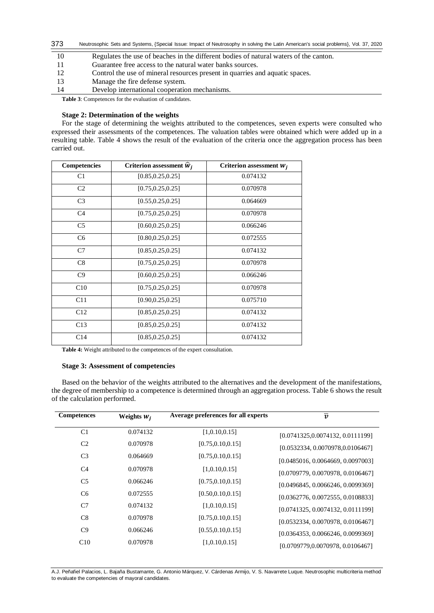| 373 | Neutrosophic Sets and Systems, {Special Issue: Impact of Neutrosophy in solving the Latin American's social problems}, Vol. 37, 2020 |
|-----|--------------------------------------------------------------------------------------------------------------------------------------|
| 10  | Regulates the use of beaches in the different bodies of natural waters of the canton.                                                |
|     | Guarantee free access to the natural water banks sources.                                                                            |
| 12  | Control the use of mineral resources present in quarries and aquatic spaces.                                                         |
| 13  | Manage the fire defense system.                                                                                                      |
| 14  | Develop international cooperation mechanisms.                                                                                        |

**Table 3**: Competences for the evaluation of candidates.

# **Stage 2: Determination of the weights**

For the stage of determining the weights attributed to the competences, seven experts were consulted who expressed their assessments of the competences. The valuation tables were obtained which were added up in a resulting table. Table 4 shows the result of the evaluation of the criteria once the aggregation process has been carried out.

| Competencies    | Criterion assessment $\hat{w}_i$ | Criterion assessment $W_j$ |
|-----------------|----------------------------------|----------------------------|
| C1              | [0.85, 0.25, 0.25]               | 0.074132                   |
| C <sub>2</sub>  | [0.75, 0.25, 0.25]               | 0.070978                   |
| C <sub>3</sub>  | [0.55, 0.25, 0.25]               | 0.064669                   |
| C <sub>4</sub>  | [0.75, 0.25, 0.25]               | 0.070978                   |
| C <sub>5</sub>  | [0.60, 0.25, 0.25]               | 0.066246                   |
| C <sub>6</sub>  | [0.80, 0.25, 0.25]               | 0.072555                   |
| C7              | [0.85, 0.25, 0.25]               | 0.074132                   |
| C8              | [0.75, 0.25, 0.25]               | 0.070978                   |
| C9              | [0.60, 0.25, 0.25]               | 0.066246                   |
| C10             | [0.75, 0.25, 0.25]               | 0.070978                   |
| C11             | [0.90, 0.25, 0.25]               | 0.075710                   |
| C12             | [0.85, 0.25, 0.25]               | 0.074132                   |
| C13             | [0.85, 0.25, 0.25]               | 0.074132                   |
| C <sub>14</sub> | [0.85, 0.25, 0.25]               | 0.074132                   |

**Table 4:** Weight attributed to the competences of the expert consultation.

# **Stage 3: Assessment of competencies**

Based on the behavior of the weights attributed to the alternatives and the development of the manifestations, the degree of membership to a competence is determined through an aggregation process. Table 6 shows the result of the calculation performed.

| <b>Competences</b> | Weights $W_i$ | Average preferences for all experts | $\overline{v}$                    |
|--------------------|---------------|-------------------------------------|-----------------------------------|
| C <sub>1</sub>     | 0.074132      | [1,0.10,0.15]                       | [0.0741325,0.0074132, 0.0111199]  |
| C <sub>2</sub>     | 0.070978      | [0.75, 0.10, 0.15]                  | [0.0532334, 0.0070978, 0.0106467] |
| C <sub>3</sub>     | 0.064669      | [0.75, 0.10, 0.15]                  | [0.0485016, 0.0064669, 0.0097003] |
| C <sub>4</sub>     | 0.070978      | [1,0.10,0.15]                       | [0.0709779, 0.0070978, 0.0106467] |
| C <sub>5</sub>     | 0.066246      | [0.75, 0.10, 0.15]                  | [0.0496845, 0.0066246, 0.0099369] |
| C <sub>6</sub>     | 0.072555      | [0.50, 0.10, 0.15]                  | [0.0362776, 0.0072555, 0.0108833] |
| C7                 | 0.074132      | [1,0.10,0.15]                       | [0.0741325, 0.0074132, 0.0111199] |
| C8                 | 0.070978      | [0.75, 0.10, 0.15]                  | [0.0532334, 0.0070978, 0.0106467] |
| C9                 | 0.066246      | [0.55, 0.10, 0.15]                  | [0.0364353, 0.0066246, 0.0099369] |
| C10                | 0.070978      | [1,0.10,0.15]                       | [0.0709779,0.0070978, 0.0106467]  |

A.J. Peñafiel Palacios, L. Bajaña Bustamante, G. Antonio Márquez, V. Cárdenas Armijo, V. S. Navarrete Luque. Neutrosophic multicriteria method to evaluate the competencies of mayoral candidates.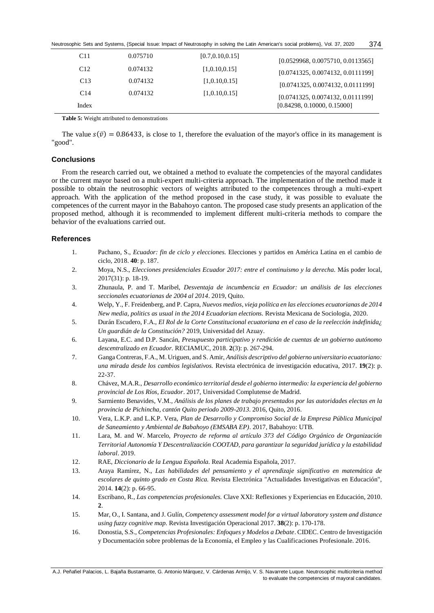Neutrosophic Sets and Systems, {Special Issue: Impact of Neutrosophy in solving the Latin American's social problems}, Vol. 37, 2020 374

| C <sub>11</sub> | 0.075710 | [0.7, 0.10, 0.15] | [0.0529968, 0.0075710, 0.0113565] |
|-----------------|----------|-------------------|-----------------------------------|
| C12             | 0.074132 | [1,0.10,0.15]     | [0.0741325, 0.0074132, 0.0111199] |
| C13             | 0.074132 | [1,0.10,0.15]     | [0.0741325, 0.0074132, 0.0111199] |
| C <sub>14</sub> | 0.074132 | [1,0.10,0.15]     | [0.0741325, 0.0074132, 0.0111199] |
| Index           |          |                   | [0.84298, 0.10000, 0.15000]       |

**Table 5:** Weight attributed to demonstrations

The value  $s(\bar{v}) = 0.86433$ , is close to 1, therefore the evaluation of the mayor's office in its management is "good".

## **Conclusions**

From the research carried out, we obtained a method to evaluate the competencies of the mayoral candidates or the current mayor based on a multi-expert multi-criteria approach. The implementation of the method made it possible to obtain the neutrosophic vectors of weights attributed to the competences through a multi-expert approach. With the application of the method proposed in the case study, it was possible to evaluate the competences of the current mayor in the Babahoyo canton. The proposed case study presents an application of the proposed method, although it is recommended to implement different multi-criteria methods to compare the behavior of the evaluations carried out.

## **References**

- <span id="page-6-0"></span>1. Pachano, S., *Ecuador: fin de ciclo y elecciones.* Elecciones y partidos en América Latina en el cambio de ciclo, 2018. **40**: p. 187.
- <span id="page-6-1"></span>2. Moya, N.S., *Elecciones presidenciales Ecuador 2017: entre el continuismo y la derecha.* Más poder local, 2017(31): p. 18-19.
- <span id="page-6-2"></span>3. Zhunaula, P. and T. Maribel, *Desventaja de incumbencia en Ecuador: un análisis de las elecciones seccionales ecuatorianas de 2004 al 2014*. 2019, Quito.
- <span id="page-6-3"></span>4. Welp, Y., F. Freidenberg, and P. Capra, *Nuevos medios, vieja política en las elecciones ecuatorianas de 2014 New media, politics as usual in the 2014 Ecuadorian elections.* Revista Mexicana de Sociologia, 2020.
- <span id="page-6-4"></span>5. Durán Escudero, F.A., *El Rol de la Corte Constitucional ecuatoriana en el caso de la reelección indefinida¿ Un guardián de la Constitución?* 2019, Universidad del Azuay.
- <span id="page-6-5"></span>6. Layana, E.C. and D.P. Sancán, *Presupuesto participativo y rendición de cuentas de un gobierno autónomo descentralizado en Ecuador.* RECIAMUC, 2018. **2**(3): p. 267-294.
- <span id="page-6-6"></span>7. Ganga Contreras, F.A., M. Uriguen, and S. Amir, *Análisis descriptivo del gobierno universitario ecuatoriano: una mirada desde los cambios legislativos.* Revista electrónica de investigación educativa, 2017. **19**(2): p. 22-37.
- <span id="page-6-7"></span>8. Chávez, M.A.R., *Desarrollo económico territorial desde el gobierno intermedio: la experiencia del gobierno provincial de Los Ríos, Ecuador*. 2017, Universidad Complutense de Madrid.
- <span id="page-6-8"></span>9. Sarmiento Benavides, V.M., *Análisis de los planes de trabajo presentados por las autoridades electas en la provincia de Pichincha, cantón Quito periodo 2009-2013*. 2016, Quito, 2016.
- <span id="page-6-9"></span>10. Vera, L.K.P. and L.K.P. Vera, *Plan de Desarrollo y Compromiso Social de la Empresa Pública Municipal de Saneamiento y Ambiental de Babahoyo (EMSABA EP)*. 2017, Babahoyo: UTB.
- <span id="page-6-10"></span>11. Lara, M. and W. Marcelo, *Proyecto de reforma al artículo 373 del Código Orgánico de Organización Territorial Autonomía Y Descentralización COOTAD, para garantizar la seguridad jurídica y la estabilidad laboral*. 2019.
- <span id="page-6-11"></span>12. RAE, *Diccionario de la Lengua Española.* Real Academia Española, 2017.
- <span id="page-6-12"></span>13. Araya Ramírez, N., *Las habilidades del pensamiento y el aprendizaje significativo en matemática de escolares de quinto grado en Costa Rica.* Revista Electrónica "Actualidades Investigativas en Educación", 2014. **14**(2): p. 66-95.
- <span id="page-6-13"></span>14. Escribano, R., *Las competencias profesionales.* Clave XXI: Reflexiones y Experiencias en Educación, 2010. **2**.
- <span id="page-6-14"></span>15. Mar, O., I. Santana, and J. Gulín, *Competency assessment model for a virtual laboratory system and distance using fuzzy cognitive map.* Revista Investigación Operacional 2017. **38**(2): p. 170-178.
- <span id="page-6-15"></span>16. Donostia, S.S., *Competencias Profesionales: Enfoques y Modelos a Debate*. CIDEC. Centro de Investigación y Documentación sobre problemas de la Economía, el Empleo y las Cualificaciones Profesionale. 2016.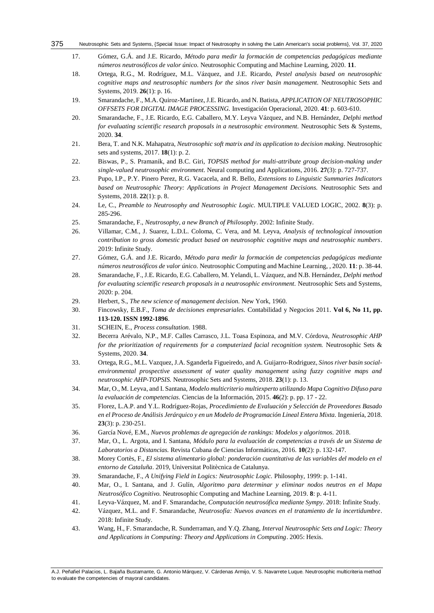#### <span id="page-7-0"></span>Neutrosophic Sets and Systems, {Special Issue: Impact of Neutrosophy in solving the Latin American's social problems}, Vol. 37, 2020 375

- 17. Gómez, G.Á. and J.E. Ricardo, *Método para medir la formación de competencias pedagógicas mediante números neutrosóficos de valor único.* Neutrosophic Computing and Machine Learning, 2020. **11**.
- <span id="page-7-5"></span>18. Ortega, R.G., M. Rodríguez, M.L. Vázquez, and J.E. Ricardo, *Pestel analysis based on neutrosophic cognitive maps and neutrosophic numbers for the sinos river basin management.* Neutrosophic Sets and Systems, 2019. **26**(1): p. 16.
- 19. Smarandache, F., M.A. Quiroz-Martínez, J.E. Ricardo, and N. Batista, *APPLICATION OF NEUTROSOPHIC OFFSETS FOR DIGITAL IMAGE PROCESSING.* Investigación Operacional, 2020. **41**: p. 603-610.
- 20. Smarandache, F., J.E. Ricardo, E.G. Caballero, M.Y. Leyva Vázquez, and N.B. Hernández, *Delphi method for evaluating scientific research proposals in a neutrosophic environment.* Neutrosophic Sets & Systems, 2020. **34**.
- <span id="page-7-1"></span>21. Bera, T. and N.K. Mahapatra, *Neutrosophic soft matrix and its application to decision making.* Neutrosophic sets and systems, 2017. **18**(1): p. 2.
- 22. Biswas, P., S. Pramanik, and B.C. Giri, *TOPSIS method for multi-attribute group decision-making under single-valued neutrosophic environment.* Neural computing and Applications, 2016. **27**(3): p. 727-737.
- 23. Pupo, I.P., P.Y. Pinero Perez, R.G. Vacacela, and R. Bello, *Extensions to Linguistic Summaries Indicators based on Neutrosophic Theory: Applications in Project Management Decisions.* Neutrosophic Sets and Systems, 2018. **22**(1): p. 8.
- <span id="page-7-2"></span>24. Le, C., *Preamble to Neutrosophy and Neutrosophic Logic.* MULTIPLE VALUED LOGIC, 2002. **8**(3): p. 285-296.
- <span id="page-7-3"></span>25. Smarandache, F., *Neutrosophy, a new Branch of Philosophy*. 2002: Infinite Study.
- <span id="page-7-4"></span>26. Villamar, C.M., J. Suarez, L.D.L. Coloma, C. Vera, and M. Leyva, *Analysis of technological innovation contribution to gross domestic product based on neutrosophic cognitive maps and neutrosophic numbers*. 2019: Infinite Study.
- <span id="page-7-6"></span>27. Gómez, G.Á. and J.E. Ricardo, *Método para medir la formación de competencias pedagógicas mediante números neutrosóficos de valor único.* Neutrosophic Computing and Machine Learning, , 2020. **11**: p. 38-44.
- <span id="page-7-7"></span>28. Smarandache, F., J.E. Ricardo, E.G. Caballero, M. Yelandi, L. Vázquez, and N.B. Hernández, *Delphi method for evaluating scientific research proposals in a neutrosophic environment.* Neutrosophic Sets and Systems, 2020: p. 204.
- <span id="page-7-8"></span>29. Herbert, S., *The new science of management decision.* New York, 1960.
- <span id="page-7-9"></span>30. Fincowsky, E.B.F., *Toma de decisiones empresariales.* Contabilidad y Negocios 2011. **Vol 6, No 11, pp. 113-120. ISSN 1992-1896**.
- <span id="page-7-10"></span>31. SCHEIN, E., *Process consultation.* 1988.
- <span id="page-7-11"></span>32. Becerra Arévalo, N.P., M.F. Calles Carrasco, J.L. Toasa Espinoza, and M.V. Córdova, *Neutrosophic AHP for the prioritization of requirements for a computerized facial recognition system.* Neutrosophic Sets & Systems, 2020. **34**.
- <span id="page-7-12"></span>33. Ortega, R.G., M.L. Vazquez, J.A. Sganderla Figueiredo, and A. Guijarro-Rodriguez, *Sinos river basin socialenvironmental prospective assessment of water quality management using fuzzy cognitive maps and neutrosophic AHP-TOPSIS.* Neutrosophic Sets and Systems, 2018. **23**(1): p. 13.
- <span id="page-7-13"></span>34. Mar, O., M. Leyva, and I. Santana, *Modelo multicriterio multiexperto utilizando Mapa Cognitivo Difuso para la evaluación de competencias.* Ciencias de la Información, 2015. **46**(2): p. pp. 17 - 22.
- 35. Florez, L.A.P. and Y.L. Rodríguez-Rojas, *Procedimiento de Evaluación y Selección de Proveedores Basado en el Proceso de Análisis Jerárquico y en un Modelo de Programación Lineal Entera Mixta.* Ingeniería, 2018. **23**(3): p. 230-251.
- 36. García Nové, E.M., *Nuevos problemas de agregación de rankings: Modelos y algoritmos.* 2018.
- <span id="page-7-14"></span>37. Mar, O., L. Argota, and I. Santana, *Módulo para la evaluación de competencias a través de un Sistema de Laboratorios a Distancias.* Revista Cubana de Ciencias Informáticas, 2016. **10**(2): p. 132-147.
- <span id="page-7-15"></span>38. Morey Cortès, F., *El sistema alimentario global: ponderación cuantitativa de las variables del modelo en el entorno de Cataluña*. 2019, Universitat Politècnica de Catalunya.
- <span id="page-7-16"></span>39. Smarandache, F., *A Unifying Field in Logics: Neutrosophic Logic.* Philosophy, 1999: p. 1-141.
- <span id="page-7-17"></span>40. Mar, O., I. Santana, and J. Gulín, *Algoritmo para determinar y eliminar nodos neutros en el Mapa Neutrosófico Cognitivo.* Neutrosophic Computing and Machine Learning, 2019. **8**: p. 4-11.
- <span id="page-7-18"></span>41. Leyva-Vázquez, M. and F. Smarandache, *Computación neutrosófica mediante Sympy*. 2018: Infinite Study.
- <span id="page-7-19"></span>42. Vázquez, M.L. and F. Smarandache, *Neutrosofía: Nuevos avances en el tratamiento de la incertidumbre*. 2018: Infinite Study.
- <span id="page-7-20"></span>43. Wang, H., F. Smarandache, R. Sunderraman, and Y.Q. Zhang, *Interval Neutrosophic Sets and Logic: Theory and Applications in Computing: Theory and Applications in Computing*. 2005: Hexis.